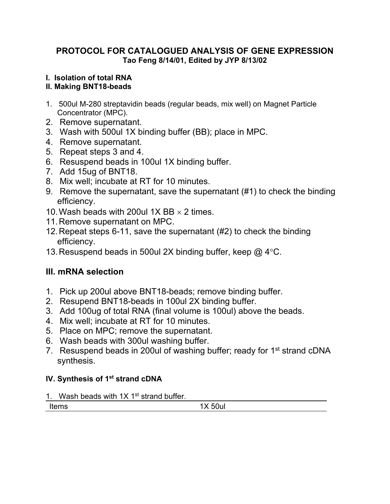## **PROTOCOL FOR CATALOGUED ANALYSIS OF GENE EXPRESSION Tao Feng 8/14/01, Edited by JYP 8/13/02**

# **I. Isolation of total RNA**

# **II. Making BNT18-beads**

- 1. 500ul M-280 streptavidin beads (regular beads, mix well) on Magnet Particle Concentrator (MPC).
- 2. Remove supernatant.
- 3. Wash with 500ul 1X binding buffer (BB); place in MPC.
- 4. Remove supernatant.
- 5. Repeat steps 3 and 4.
- 6. Resuspend beads in 100ul 1X binding buffer.
- 7. Add 15ug of BNT18.
- 8. Mix well; incubate at RT for 10 minutes.
- 9. Remove the supernatant, save the supernatant (#1) to check the binding efficiency.
- 10. Wash beads with 200ul 1X BB  $\times$  2 times.
- 11.Remove supernatant on MPC.
- 12.Repeat steps 6-11, save the supernatant (#2) to check the binding efficiency.
- 13. Resuspend beads in 500ul 2X binding buffer, keep  $\omega$  4 °C.

# **III. mRNA selection**

- 1. Pick up 200ul above BNT18-beads; remove binding buffer.
- 2. Resupend BNT18-beads in 100ul 2X binding buffer.
- 3. Add 100ug of total RNA (final volume is 100ul) above the beads.
- 4. Mix well; incubate at RT for 10 minutes.
- 5. Place on MPC; remove the supernatant.
- 6. Wash beads with 300ul washing buffer.
- 7. Resuspend beads in 200ul of washing buffer; ready for 1<sup>st</sup> strand cDNA synthesis.

# **IV. Synthesis of 1st strand cDNA**

1. Wash beads with  $1X$  1<sup>st</sup> strand buffer.

1X 50ul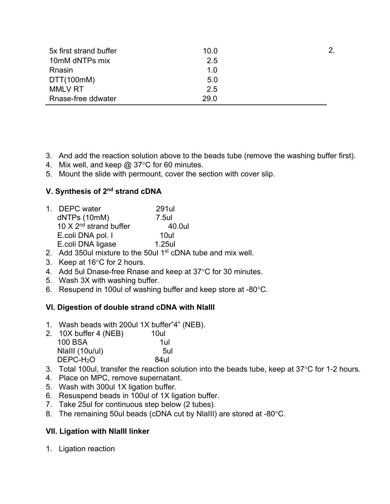| 5x first strand buffer | 10.0 | 2. |
|------------------------|------|----|
| 10mM dNTPs mix         | 2.5  |    |
| Rnasin                 | 1.0  |    |
| DTT(100mM)             | 5.0  |    |
| <b>MMLV RT</b>         | 25   |    |
| Rnase-free ddwater     | 29.0 |    |

3. And add the reaction solution above to the beads tube (remove the washing buffer first).

- 4. Mix well, and keep  $@37^{\circ}C$  for 60 minutes.
- 5. Mount the slide with permount, cover the section with cover slip.

## **V. Synthesis of 2nd strand cDNA**

| 1. DEPC water                             | 291ul  |
|-------------------------------------------|--------|
| dNTPs (10mM)                              | 7.5ul  |
| 10 $\times$ 2 <sup>nd</sup> strand buffer | 40.0ul |
| E.coli DNA pol. I                         | 10ul   |
| E.coli DNA ligase                         | 1.25ul |
|                                           |        |

- 2. Add 350ul mixture to the 50ul 1<sup>st</sup> cDNA tube and mix well.
- 3. Keep at  $16^{\circ}$ C for 2 hours.
- 4. Add 5ul Dnase-free Rnase and keep at  $37^{\circ}$ C for 30 minutes.
- 5. Wash 3X with washing buffer.
- 6. Resupend in 100ul of washing buffer and keep store at -80°C.

### **VI. Digestion of double strand cDNA with NlaIII**

- 1. Wash beads with 200ul 1X buffer"4" (NEB).
- 2. 10X buffer 4 (NEB) 10ul 100 BSA 1ul NlaIII (10u/ul) 5ul DEPC-H<sub>2</sub>O 84ul
- 3. Total 100ul, transfer the reaction solution into the beads tube, keep at  $37^{\circ}$ C for 1-2 hours.
- 4. Place on MPC, remove supernatant.
- 5. Wash with 300ul 1X ligation buffer.
- 6. Resuspend beads in 100ul of 1X ligation buffer.
- 7. Take 25ul for continuous step below (2 tubes).
- 8. The remaining 50ul beads (cDNA cut by NlaIII) are stored at -80°C.

### **VII. Ligation with NlaIII linker**

1. Ligation reaction